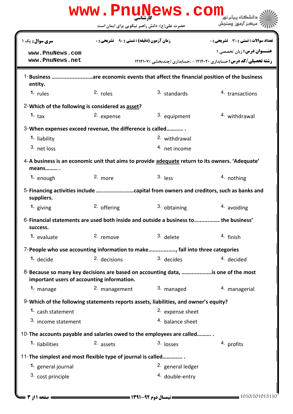|                                                             |                                                    | حضرت علی(ع): دانش راهبر نیکویی برای ایمان است                                                   | مركز آزمون وسندش                      |
|-------------------------------------------------------------|----------------------------------------------------|-------------------------------------------------------------------------------------------------|---------------------------------------|
| سری سوال : یک ۱                                             | <b>زمان آزمون (دقیقه) : تستی : 90 ٪ تشریحی : 0</b> |                                                                                                 | تعداد سوالات : تستي : 30 ٪ تشريحي : 0 |
| www.PnuNews.com<br>www.PnuNews.net                          |                                                    | <b>رشته تحصیلی/کد درس: حسابداری ۱۲۱۴۰۲۰ - ،حسابداری (چندبخشی ) ۱۲۱۴۱۰۷</b>                      | عنــوان درس: زبان تخصصی ۱             |
| entity.                                                     |                                                    | 1-Business are economic events that affect the financial position of the business               |                                       |
| $1.$ rules                                                  | 2. roles                                           | 3. standards                                                                                    | 4. transactions                       |
| 2- Which of the following is considered as asset?           |                                                    |                                                                                                 |                                       |
| 1. $\tan$                                                   | 2. expense                                         | 3. equipment                                                                                    | 4. withdrawal                         |
| 3-When expenses exceed revenue, the difference is called    |                                                    |                                                                                                 |                                       |
| 1. liability                                                |                                                    | 2. withdrawal                                                                                   |                                       |
| 3. net loss                                                 |                                                    | 4. net income                                                                                   |                                       |
| means                                                       |                                                    | 4-A business is an economic unit that aims to provide adequate return to its owners. 'Adequate' |                                       |
| 1. enough                                                   | 2. more                                            | $3.$ less                                                                                       | 4. nothing                            |
| suppliers.                                                  |                                                    |                                                                                                 |                                       |
| <sup>1.</sup> giving                                        | 2. offering                                        | 3. obtaining                                                                                    | 4. avoiding                           |
| success.                                                    |                                                    | 6-Financial statements are used both inside and outside a business to  the business'            |                                       |
| 1. evaluate                                                 | 2. remove                                          | 3. delete                                                                                       | 4. finish                             |
|                                                             |                                                    | 7-People who use accounting information to make, fall into three categories                     |                                       |
| 1. decide                                                   | 2. decisions                                       | 3. decides                                                                                      | 4. decided                            |
| important users of accounting information.                  |                                                    | 8-Because so many key decisions are based on accounting data, is one of the most                |                                       |
| 1. manage                                                   | 2. management                                      | 3. managed                                                                                      | 4. managerial                         |
|                                                             |                                                    | 9-Which of the following statements reports assets, liabilities, and owner's equity?            |                                       |
| 1. cash statement                                           |                                                    | <sup>2.</sup> expense sheet                                                                     |                                       |
| 3. income statement                                         |                                                    | 4. balance sheet                                                                                |                                       |
|                                                             |                                                    | 10-The accounts payable and salaries owed to the employees are called                           |                                       |
| <sup>1.</sup> liabilities                                   | $2.$ assets                                        | $3.$ losses                                                                                     | 4. profits                            |
| 11-The simplest and most flexible type of journal is called |                                                    |                                                                                                 |                                       |
| 1. general journal                                          |                                                    | 2. general ledger                                                                               |                                       |
| 3. cost principle                                           |                                                    | <sup>4.</sup> double-entry                                                                      |                                       |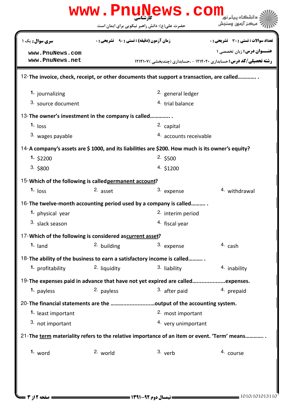|                                                          |              | www.PnuNews.com                                                                                  |                                                                            |  |
|----------------------------------------------------------|--------------|--------------------------------------------------------------------------------------------------|----------------------------------------------------------------------------|--|
|                                                          |              | حضرت علی(ع): دانش راهبر نیکویی برای ایمان است                                                    | مركز آزمون وسنجش                                                           |  |
| <b>سری سوال :</b> یک ۱                                   |              | <b>زمان آزمون (دقیقه) : تستی : ۹۰٪ تشریحی : 0</b>                                                | <b>تعداد سوالات : تستی : 30 ٪ تشریحی : 0</b>                               |  |
| www.PnuNews.com                                          |              |                                                                                                  | <b>عنــوان درس:</b> زبان تخصصی ۱                                           |  |
| www.PnuNews.net                                          |              |                                                                                                  | <b>رشته تحصیلی/کد درس: حسابداری ۱۲۱۴۰۲۰ - ،حسابداری (چندبخشی ) ۱۲۱۴۱۰۷</b> |  |
|                                                          |              | 12-The invoice, check, receipt, or other documents that support a transaction, are called        |                                                                            |  |
| 1. journalizing                                          |              | <sup>2.</sup> general ledger                                                                     |                                                                            |  |
| 3. source document                                       |              | 4. trial balance                                                                                 |                                                                            |  |
| 13-The owner's investment in the company is called       |              |                                                                                                  |                                                                            |  |
| $1.$ loss                                                |              | 2. capital                                                                                       |                                                                            |  |
| 3. wages payable                                         |              |                                                                                                  | 4. accounts receivable                                                     |  |
|                                                          |              | 14-A company's assets are \$1000, and its liabilities are \$200. How much is its owner's equity? |                                                                            |  |
| 1.52200                                                  |              | 2.500                                                                                            |                                                                            |  |
| 3.5800                                                   |              | 4. \$1200                                                                                        |                                                                            |  |
| 15-Which of the following is called permanent account?   |              |                                                                                                  |                                                                            |  |
| $1.$ loss                                                | 2. asset     | 3. expense                                                                                       | 4. withdrawal                                                              |  |
|                                                          |              | 16-The twelve-month accounting period used by a company is called                                |                                                                            |  |
| 1. physical year                                         |              | 2. interim period                                                                                |                                                                            |  |
| 3. slack season                                          |              | <sup>4.</sup> fiscal year                                                                        |                                                                            |  |
| 17-Which of the following is considered ascurrent asset? |              |                                                                                                  |                                                                            |  |
| $1.$ land                                                | 2. building  | 3. expense                                                                                       | 4. cash                                                                    |  |
|                                                          |              | 18-The ability of the business to earn a satisfactory income is called                           |                                                                            |  |
| 1. profitability                                         | 2. liquidity | 3. liability                                                                                     | 4. inability                                                               |  |
|                                                          |              | 19-The expenses paid in advance that have not yet expired are calledexpenses.                    |                                                                            |  |
| <sup>1</sup> payless                                     | 2. payless   | 3. after paid                                                                                    | 4. prepaid                                                                 |  |
|                                                          |              | 20-The financial statements are the output of the accounting system.                             |                                                                            |  |
| 1. least important                                       |              | 2. most important                                                                                |                                                                            |  |
| 3. not important                                         |              | 4. very unimportant                                                                              |                                                                            |  |
|                                                          |              | 21-The term materiality refers to the relative importance of an item or event. 'Term' means      |                                                                            |  |
| $1.$ word                                                | 2. world     | $3.$ verb                                                                                        | 4. course                                                                  |  |
|                                                          |              |                                                                                                  |                                                                            |  |
|                                                          |              |                                                                                                  |                                                                            |  |
|                                                          |              |                                                                                                  |                                                                            |  |